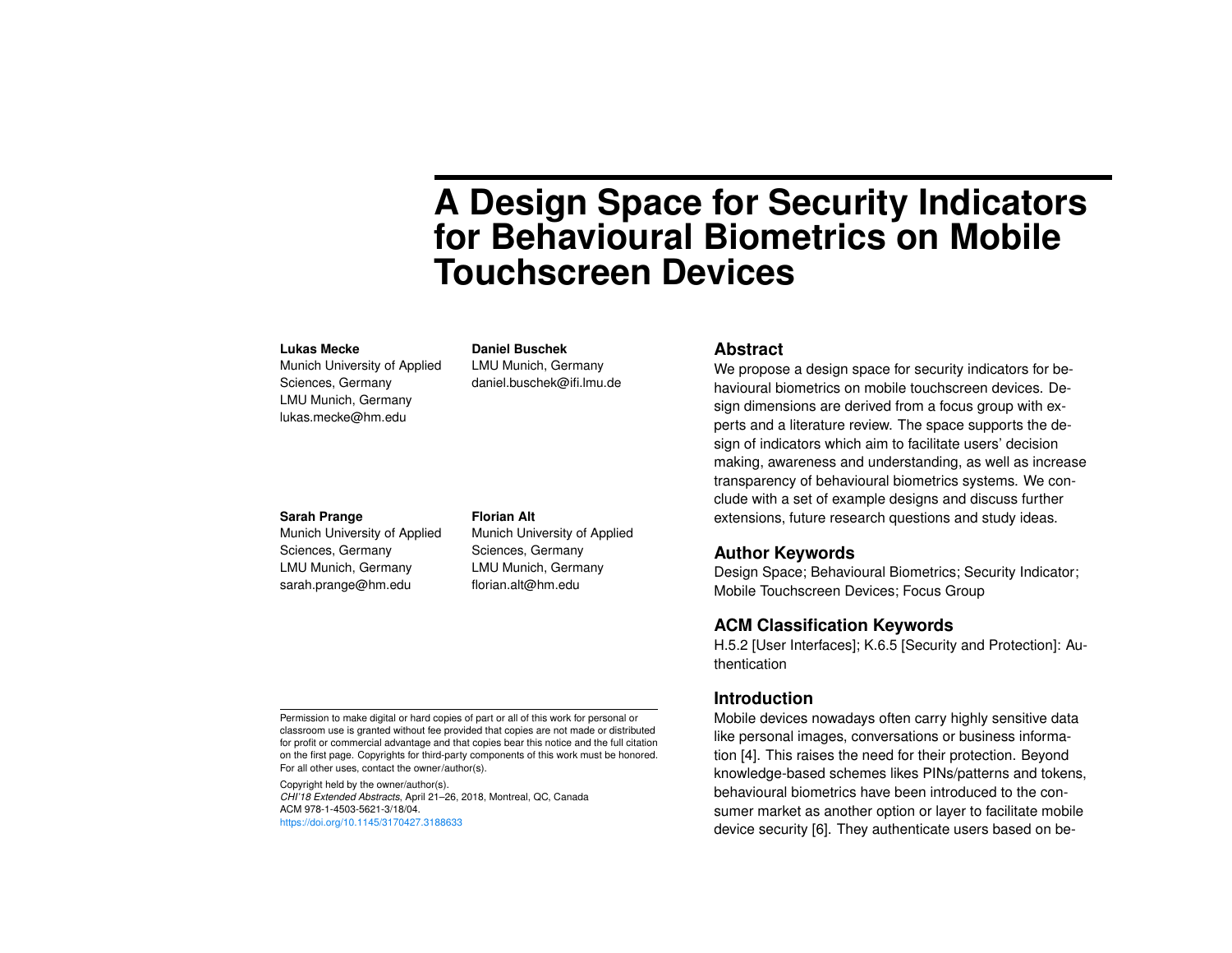# **A Design Space for Security Indicators for Behavioural Biometrics on Mobile Touchscreen Devices**

#### **Lukas Mecke**

Munich University of Applied Sciences, Germany LMU Munich, Germany lukas.mecke@hm.edu

#### **Sarah Prange**

Munich University of Applied Sciences, Germany LMU Munich, Germany sarah.prange@hm.edu

#### **Florian Alt**

**Daniel Buschek** LMU Munich, Germany daniel.buschek@ifi.lmu.de

Munich University of Applied Sciences, Germany LMU Munich, Germany florian.alt@hm.edu

#### **Abstract**

We propose a design space for security indicators for behavioural biometrics on mobile touchscreen devices. Design dimensions are derived from a focus group with experts and a literature review. The space supports the design of indicators which aim to facilitate users' decision making, awareness and understanding, as well as increase transparency of behavioural biometrics systems. We conclude with a set of example designs and discuss further extensions, future research questions and study ideas.

# **Author Keywords**

Design Space; Behavioural Biometrics; Security Indicator; Mobile Touchscreen Devices; Focus Group

# **ACM Classification Keywords**

H.5.2 [User Interfaces]; K.6.5 [Security and Protection]: Authentication

# **Introduction**

Mobile devices nowadays often carry highly sensitive data like personal images, conversations or business information [\[4\]](#page-5-0). This raises the need for their protection. Beyond knowledge-based schemes likes PINs/patterns and tokens, behavioural biometrics have been introduced to the consumer market as another option or layer to facilitate mobile device security [\[6\]](#page-5-1). They authenticate users based on be-

Permission to make digital or hard copies of part or all of this work for personal or classroom use is granted without fee provided that copies are not made or distributed for profit or commercial advantage and that copies bear this notice and the full citation on the first page. Copyrights for third-party components of this work must be honored. For all other uses, contact the owner/author(s).

Copyright held by the owner/author(s). *CHI'18 Extended Abstracts*, April 21–26, 2018, Montreal, QC, Canada ACM 978-1-4503-5621-3/18/04. <https://doi.org/10.1145/3170427.3188633>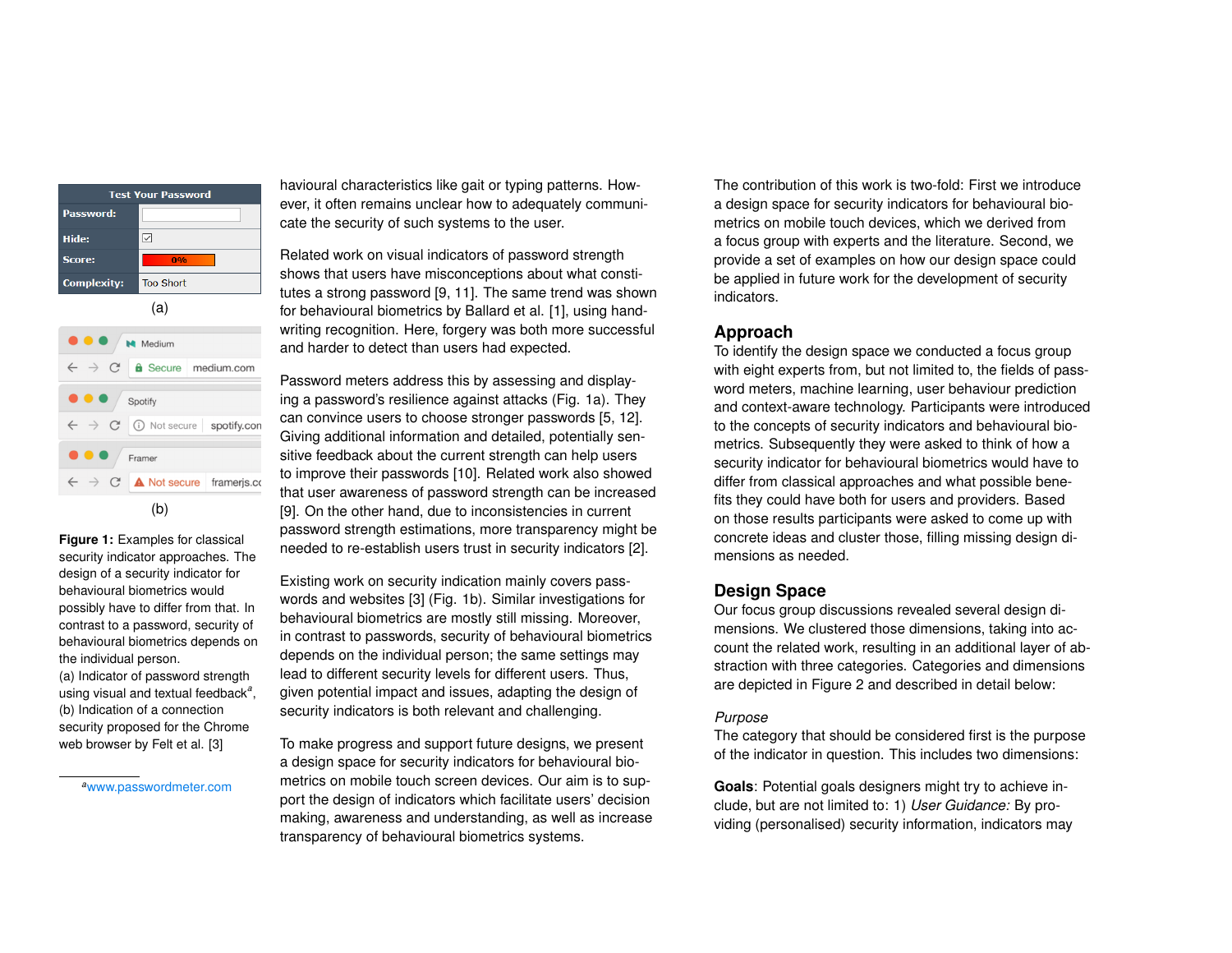| <b>Test Your Password</b> |                  |  |  |
|---------------------------|------------------|--|--|
| Password:                 |                  |  |  |
| Hide:                     | ∣✓∣              |  |  |
| Score:                    | 0%               |  |  |
| <b>Complexity:</b>        | <b>Too Short</b> |  |  |
|                           | ้ล               |  |  |

|         |  |  | Medium |                                                                             |  |
|---------|--|--|--------|-----------------------------------------------------------------------------|--|
|         |  |  |        | $\leftarrow$ $\rightarrow$ $\mathbb{C}$ <b>a</b> Secure medium.com          |  |
| Spotify |  |  |        |                                                                             |  |
|         |  |  |        | $\leftarrow$ $\rightarrow$ $\mathbb{C}^{\prime}$ (i) Not secure spotify.cor |  |
| Framer  |  |  |        |                                                                             |  |
|         |  |  |        | $\leftarrow$ $\rightarrow$ C' A Not secure framerjs.com                     |  |
| (b      |  |  |        |                                                                             |  |

<span id="page-1-1"></span>**Figure 1:** Examples for classical security indicator approaches. The design of a security indicator for behavioural biometrics would possibly have to differ from that. In contrast to a password, security of behavioural biometrics depends on the individual person. (a) Indicator of password strength using visual and textual feedback*[a](#page-1-0)* , (b) Indication of a connection security proposed for the Chrome web browser by Felt et al. [\[3\]](#page-5-5)

<span id="page-1-0"></span>*<sup>a</sup>*<www.passwordmeter.com>

havioural characteristics like gait or typing patterns. However, it often remains unclear how to adequately communicate the security of such systems to the user.

Related work on visual indicators of password strength shows that users have misconceptions about what constitutes a strong password [\[9,](#page-5-2) [11\]](#page-5-3). The same trend was shown for behavioural biometrics by Ballard et al. [\[1\]](#page-5-4), using handwriting recognition. Here, forgery was both more successful and harder to detect than users had expected.

Password meters address this by assessing and displaying a password's resilience against attacks (Fig. [1a](#page-1-1)). They can convince users to choose stronger passwords [\[5,](#page-5-6) [12\]](#page-5-7). Giving additional information and detailed, potentially sensitive feedback about the current strength can help users to improve their passwords [\[10\]](#page-5-8). Related work also showed that user awareness of password strength can be increased [\[9\]](#page-5-2). On the other hand, due to inconsistencies in current password strength estimations, more transparency might be needed to re-establish users trust in security indicators [\[2\]](#page-5-9).

Existing work on security indication mainly covers passwords and websites [\[3\]](#page-5-5) (Fig. [1b](#page-1-1)). Similar investigations for behavioural biometrics are mostly still missing. Moreover, in contrast to passwords, security of behavioural biometrics depends on the individual person; the same settings may lead to different security levels for different users. Thus, given potential impact and issues, adapting the design of security indicators is both relevant and challenging.

To make progress and support future designs, we present a design space for security indicators for behavioural biometrics on mobile touch screen devices. Our aim is to support the design of indicators which facilitate users' decision making, awareness and understanding, as well as increase transparency of behavioural biometrics systems.

The contribution of this work is two-fold: First we introduce a design space for security indicators for behavioural biometrics on mobile touch devices, which we derived from a focus group with experts and the literature. Second, we provide a set of examples on how our design space could be applied in future work for the development of security indicators.

# **Approach**

To identify the design space we conducted a focus group with eight experts from, but not limited to, the fields of password meters, machine learning, user behaviour prediction and context-aware technology. Participants were introduced to the concepts of security indicators and behavioural biometrics. Subsequently they were asked to think of how a security indicator for behavioural biometrics would have to differ from classical approaches and what possible benefits they could have both for users and providers. Based on those results participants were asked to come up with concrete ideas and cluster those, filling missing design dimensions as needed.

# **Design Space**

Our focus group discussions revealed several design dimensions. We clustered those dimensions, taking into account the related work, resulting in an additional layer of abstraction with three categories. Categories and dimensions are depicted in Figure [2](#page-2-0) and described in detail below:

#### *Purpose*

The category that should be considered first is the purpose of the indicator in question. This includes two dimensions:

**Goals**: Potential goals designers might try to achieve include, but are not limited to: 1) *User Guidance:* By providing (personalised) security information, indicators may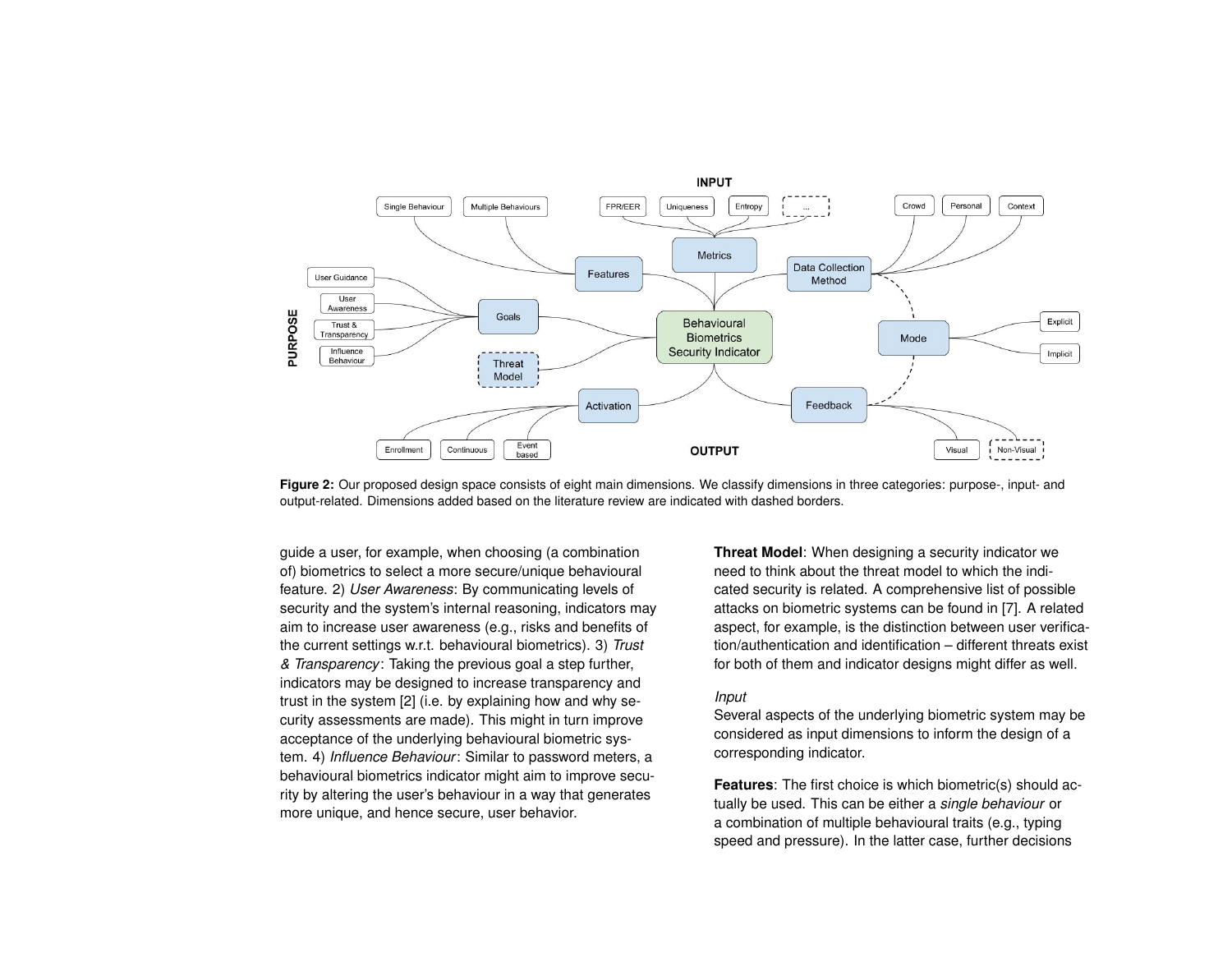<span id="page-2-0"></span>

**Figure 2:** Our proposed design space consists of eight main dimensions. We classify dimensions in three categories: purpose-, input- and output-related. Dimensions added based on the literature review are indicated with dashed borders.

guide a user, for example, when choosing (a combination of) biometrics to select a more secure/unique behavioural feature. 2) *User Awareness*: By communicating levels of security and the system's internal reasoning, indicators may aim to increase user awareness (e.g., risks and benefits of the current settings w.r.t. behavioural biometrics). 3) *Trust & Transparency*: Taking the previous goal a step further, indicators may be designed to increase transparency and trust in the system [\[2\]](#page-5-9) (i.e. by explaining how and why security assessments are made). This might in turn improve acceptance of the underlying behavioural biometric system. 4) *Influence Behaviour*: Similar to password meters, a behavioural biometrics indicator might aim to improve security by altering the user's behaviour in a way that generates more unique, and hence secure, user behavior.

**Threat Model**: When designing a security indicator we need to think about the threat model to which the indicated security is related. A comprehensive list of possible attacks on biometric systems can be found in [\[7\]](#page-5-10). A related aspect, for example, is the distinction between user verification/authentication and identification – different threats exist for both of them and indicator designs might differ as well.

#### *Input*

Several aspects of the underlying biometric system may be considered as input dimensions to inform the design of a corresponding indicator.

**Features**: The first choice is which biometric(s) should actually be used. This can be either a *single behaviour* or a combination of multiple behavioural traits (e.g., typing speed and pressure). In the latter case, further decisions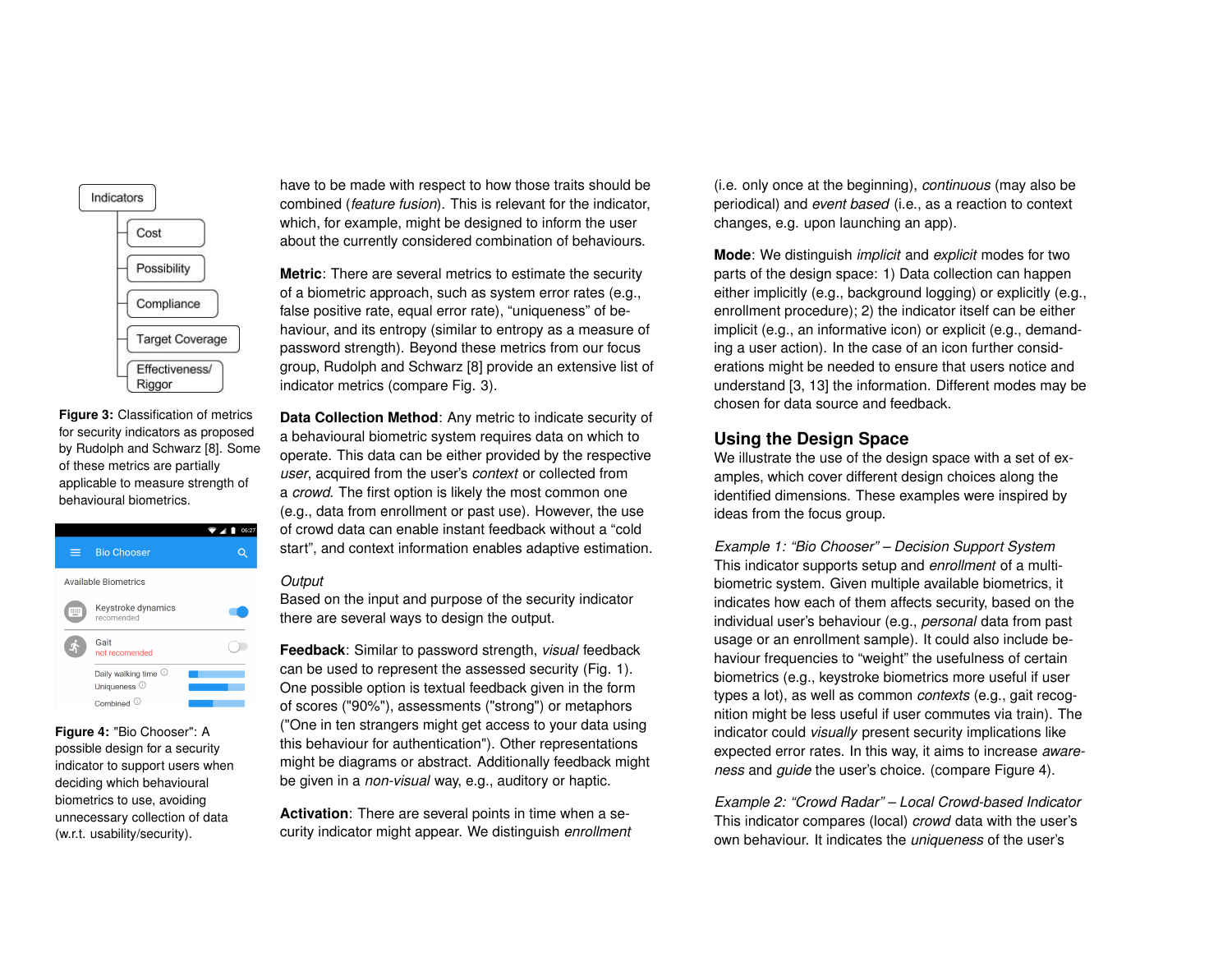

<span id="page-3-0"></span>**Figure 3: Classification of metrics** for security indicators as proposed by Rudolph and Schwarz [\[8\]](#page-5-11). Some of these metrics are partially applicable to measure strength of behavioural biometrics.



<span id="page-3-1"></span>**Figure 4:** "Bio Chooser": A possible design for a security indicator to support users when deciding which behavioural biometrics to use, avoiding unnecessary collection of data (w.r.t. usability/security).

have to be made with respect to how those traits should be combined (*feature fusion*). This is relevant for the indicator, which, for example, might be designed to inform the user about the currently considered combination of behaviours.

**Metric**: There are several metrics to estimate the security of a biometric approach, such as system error rates (e.g., false positive rate, equal error rate), "uniqueness" of behaviour, and its entropy (similar to entropy as a measure of password strength). Beyond these metrics from our focus group, Rudolph and Schwarz [\[8\]](#page-5-11) provide an extensive list of indicator metrics (compare Fig. [3\)](#page-3-0).

**Data Collection Method**: Any metric to indicate security of a behavioural biometric system requires data on which to operate. This data can be either provided by the respective *user*, acquired from the user's *context* or collected from a *crowd*. The first option is likely the most common one (e.g., data from enrollment or past use). However, the use of crowd data can enable instant feedback without a "cold start", and context information enables adaptive estimation.

#### *Output*

Based on the input and purpose of the security indicator there are several ways to design the output.

**Feedback**: Similar to password strength, *visual* feedback can be used to represent the assessed security (Fig. [1\)](#page-1-1). One possible option is textual feedback given in the form of scores ("90%"), assessments ("strong") or metaphors ("One in ten strangers might get access to your data using this behaviour for authentication"). Other representations might be diagrams or abstract. Additionally feedback might be given in a *non-visual* way, e.g., auditory or haptic.

**Activation**: There are several points in time when a security indicator might appear. We distinguish *enrollment* (i.e. only once at the beginning), *continuous* (may also be periodical) and *event based* (i.e., as a reaction to context changes, e.g. upon launching an app).

**Mode**: We distinguish *implicit* and *explicit* modes for two parts of the design space: 1) Data collection can happen either implicitly (e.g., background logging) or explicitly (e.g., enrollment procedure); 2) the indicator itself can be either implicit (e.g., an informative icon) or explicit (e.g., demanding a user action). In the case of an icon further considerations might be needed to ensure that users notice and understand [\[3,](#page-5-5) [13\]](#page-5-12) the information. Different modes may be chosen for data source and feedback.

# **Using the Design Space**

We illustrate the use of the design space with a set of examples, which cover different design choices along the identified dimensions. These examples were inspired by ideas from the focus group.

*Example 1: "Bio Chooser" – Decision Support System* This indicator supports setup and *enrollment* of a multibiometric system. Given multiple available biometrics, it indicates how each of them affects security, based on the individual user's behaviour (e.g., *personal* data from past usage or an enrollment sample). It could also include behaviour frequencies to "weight" the usefulness of certain biometrics (e.g., keystroke biometrics more useful if user types a lot), as well as common *contexts* (e.g., gait recognition might be less useful if user commutes via train). The indicator could *visually* present security implications like expected error rates. In this way, it aims to increase *awareness* and *guide* the user's choice. (compare Figure [4\)](#page-3-1).

*Example 2: "Crowd Radar" – Local Crowd-based Indicator* This indicator compares (local) *crowd* data with the user's own behaviour. It indicates the *uniqueness* of the user's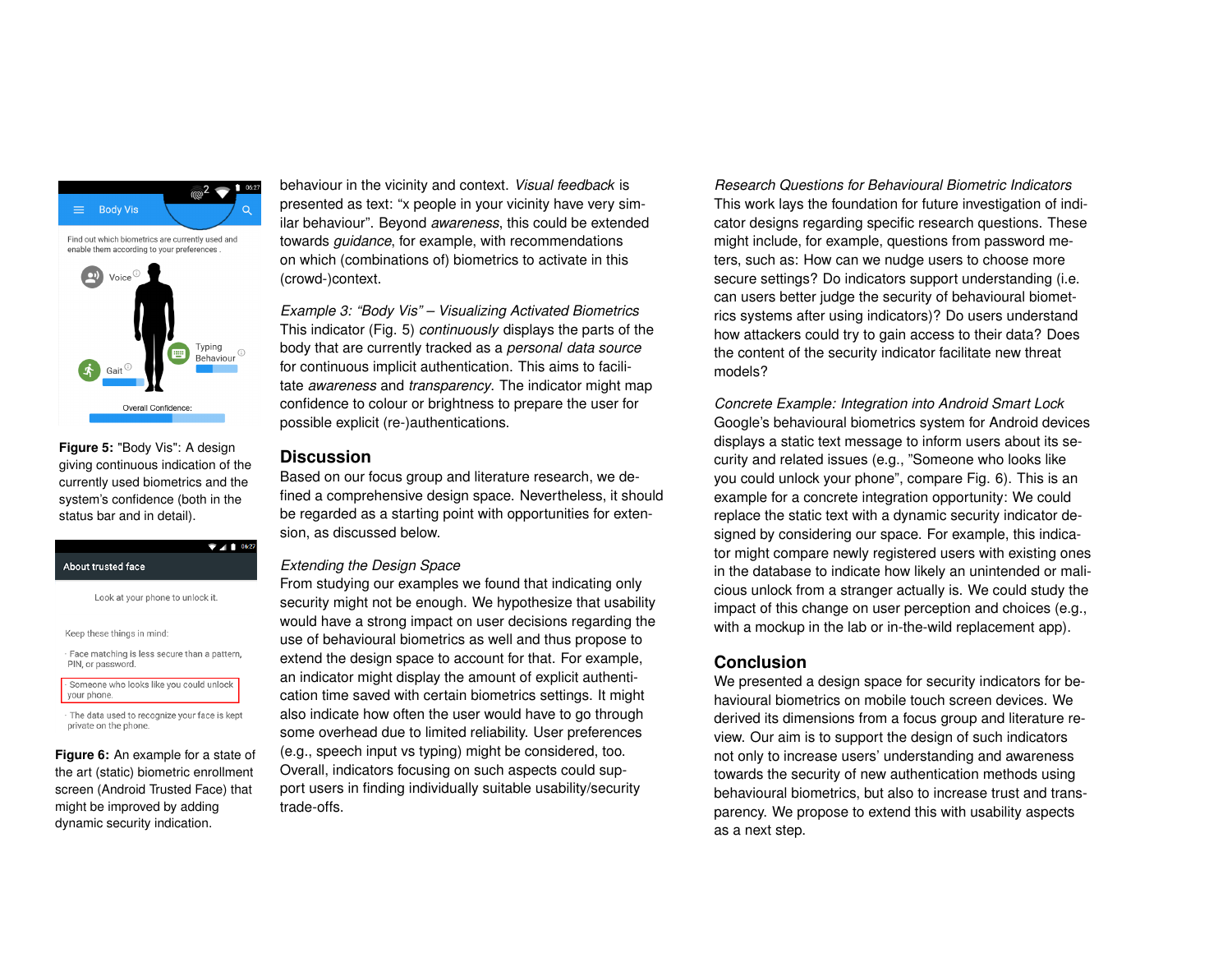

Find out which biometrics are currently used and enable them according to your preferences.



<span id="page-4-0"></span>**Figure 5:** "Body Vis": A design giving continuous indication of the currently used biometrics and the system's confidence (both in the status bar and in detail).

 $\overline{\mathbf{V}}$  4  $\overline{\mathbf{I}}$  06:27

# About trusted face

Look at your phone to unlock it.

Keep these things in mind:

Face matching is less secure than a pattern, PIN, or password.

Someone who looks like you could unlock your phone.

<span id="page-4-1"></span>The data used to recognize your face is kept private on the phone.

**Figure 6:** An example for a state of the art (static) biometric enrollment screen (Android Trusted Face) that might be improved by adding dynamic security indication.

behaviour in the vicinity and context. *Visual feedback* is presented as text: "x people in your vicinity have very similar behaviour". Beyond *awareness*, this could be extended towards *guidance*, for example, with recommendations on which (combinations of) biometrics to activate in this (crowd-)context.

*Example 3: "Body Vis" – Visualizing Activated Biometrics* This indicator (Fig. [5\)](#page-4-0) *continuously* displays the parts of the body that are currently tracked as a *personal data source* for continuous implicit authentication. This aims to facilitate *awareness* and *transparency*. The indicator might map confidence to colour or brightness to prepare the user for possible explicit (re-)authentications.

# **Discussion**

Based on our focus group and literature research, we defined a comprehensive design space. Nevertheless, it should be regarded as a starting point with opportunities for extension, as discussed below.

### *Extending the Design Space*

From studying our examples we found that indicating only security might not be enough. We hypothesize that usability would have a strong impact on user decisions regarding the use of behavioural biometrics as well and thus propose to extend the design space to account for that. For example, an indicator might display the amount of explicit authentication time saved with certain biometrics settings. It might also indicate how often the user would have to go through some overhead due to limited reliability. User preferences (e.g., speech input vs typing) might be considered, too. Overall, indicators focusing on such aspects could support users in finding individually suitable usability/security trade-offs.

*Research Questions for Behavioural Biometric Indicators* This work lays the foundation for future investigation of indicator designs regarding specific research questions. These might include, for example, questions from password meters, such as: How can we nudge users to choose more secure settings? Do indicators support understanding (i.e. can users better judge the security of behavioural biometrics systems after using indicators)? Do users understand how attackers could try to gain access to their data? Does the content of the security indicator facilitate new threat models?

*Concrete Example: Integration into Android Smart Lock* Google's behavioural biometrics system for Android devices displays a static text message to inform users about its security and related issues (e.g., "Someone who looks like you could unlock your phone", compare Fig. [6\)](#page-4-1). This is an example for a concrete integration opportunity: We could replace the static text with a dynamic security indicator designed by considering our space. For example, this indicator might compare newly registered users with existing ones in the database to indicate how likely an unintended or malicious unlock from a stranger actually is. We could study the impact of this change on user perception and choices (e.g., with a mockup in the lab or in-the-wild replacement app).

# **Conclusion**

We presented a design space for security indicators for behavioural biometrics on mobile touch screen devices. We derived its dimensions from a focus group and literature review. Our aim is to support the design of such indicators not only to increase users' understanding and awareness towards the security of new authentication methods using behavioural biometrics, but also to increase trust and transparency. We propose to extend this with usability aspects as a next step.